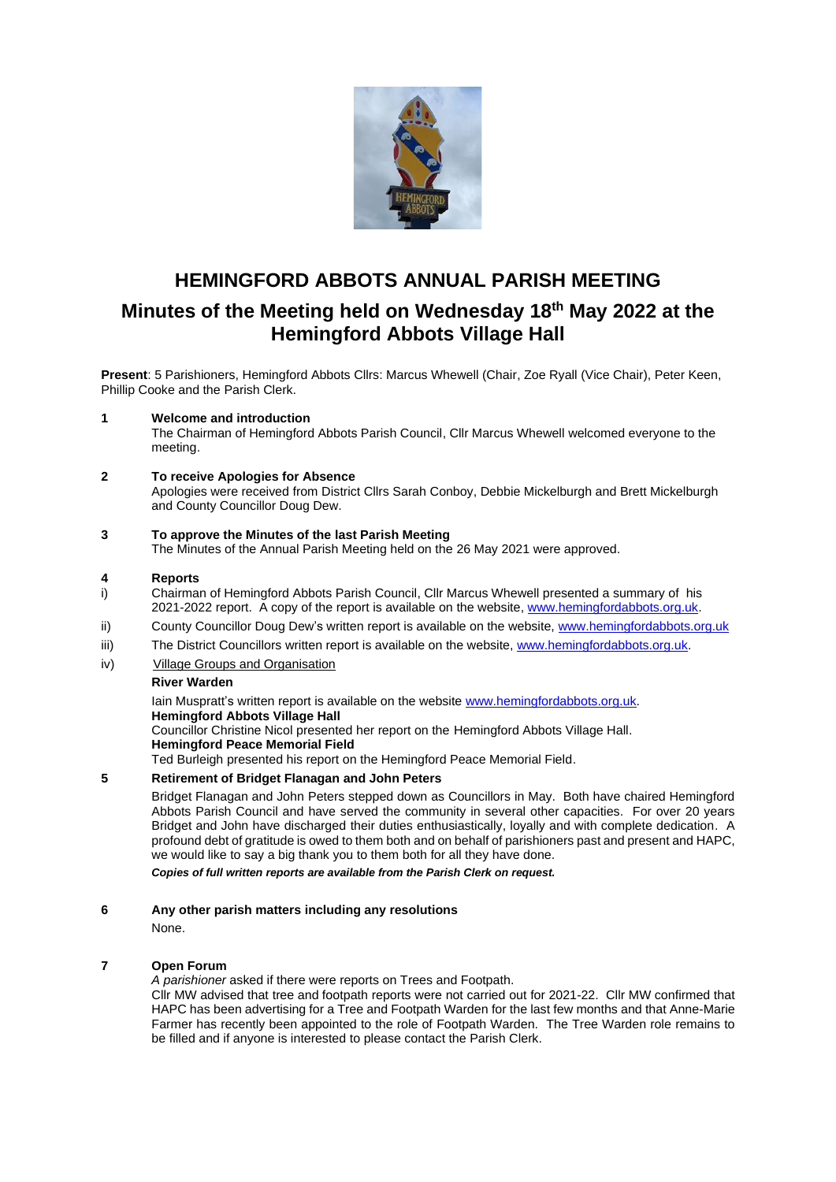

# **HEMINGFORD ABBOTS ANNUAL PARISH MEETING Minutes of the Meeting held on Wednesday 18th May 2022 at the Hemingford Abbots Village Hall**

**Present**: 5 Parishioners, Hemingford Abbots Cllrs: Marcus Whewell (Chair, Zoe Ryall (Vice Chair), Peter Keen, Phillip Cooke and the Parish Clerk.

## **1 Welcome and introduction**

The Chairman of Hemingford Abbots Parish Council, Cllr Marcus Whewell welcomed everyone to the meeting.

## **2 To receive Apologies for Absence**

Apologies were received from District Cllrs Sarah Conboy, Debbie Mickelburgh and Brett Mickelburgh and County Councillor Doug Dew.

#### **3 To approve the Minutes of the last Parish Meeting**

The Minutes of the Annual Parish Meeting held on the 26 May 2021 were approved.

#### **4 Reports**

- i) Chairman of Hemingford Abbots Parish Council, Cllr Marcus Whewell presented a summary of his 2021-2022 report. A copy of the report is available on the website[, www.hemingfordabbots.org.uk.](http://www.hemingfordabbots.org.uk/)
- ii) County Councillor Doug Dew's written report is available on the website[, www.hemingfordabbots.org.uk](http://www.hemingfordabbots.org.uk/)
- iii) The District Councillors written report is available on the website, [www.hemingfordabbots.org.uk.](http://www.hemingfordabbots.org.uk/)
- iv) Village Groups and Organisation

#### **River Warden**

Iain Muspratt's written report is available on the website [www.hemingfordabbots.org.uk.](http://www.hemingfordabbots.org.uk/) **Hemingford Abbots Village Hall** Councillor Christine Nicol presented her report on the Hemingford Abbots Village Hall.

**Hemingford Peace Memorial Field**

Ted Burleigh presented his report on the Hemingford Peace Memorial Field.

## **5 Retirement of Bridget Flanagan and John Peters**

Bridget Flanagan and John Peters stepped down as Councillors in May. Both have chaired Hemingford Abbots Parish Council and have served the community in several other capacities. For over 20 years Bridget and John have discharged their duties enthusiastically, loyally and with complete dedication. A profound debt of gratitude is owed to them both and on behalf of parishioners past and present and HAPC, we would like to say a big thank you to them both for all they have done.

*Copies of full written reports are available from the Parish Clerk on request.*

#### **6 Any other parish matters including any resolutions**

None.

### **7 Open Forum**

*A parishioner* asked if there were reports on Trees and Footpath.

Cllr MW advised that tree and footpath reports were not carried out for 2021-22. Cllr MW confirmed that HAPC has been advertising for a Tree and Footpath Warden for the last few months and that Anne-Marie Farmer has recently been appointed to the role of Footpath Warden. The Tree Warden role remains to be filled and if anyone is interested to please contact the Parish Clerk.